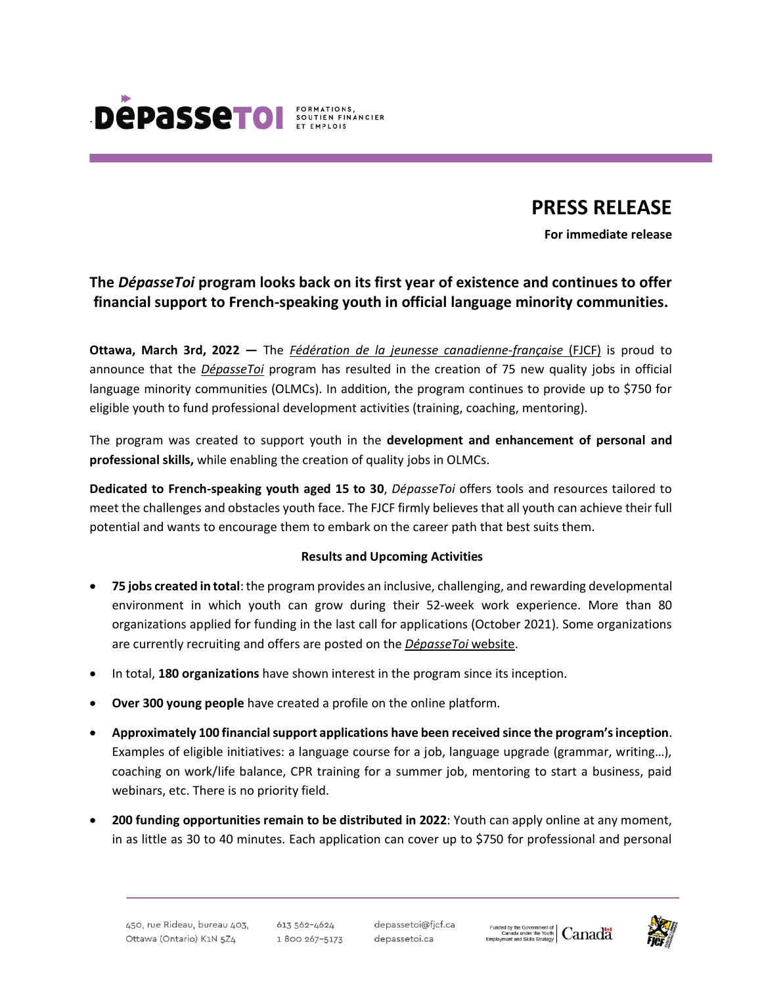

# **PRESS RELEASE**

**For immediate release**

# **The** *DépasseToi* **program looks back on its first year of existence and continues to offer financial support to French-speaking youth in official language minority communities.**

**Ottawa, March 3rd, 2022 —** The *Fédération de la jeunesse [canadienne-française](https://www.fjcf.ca/)* (FJCF) is proud to announce that the *[DépasseToi](https://www.depassetoi.ca/)* program has resulted in the creation of 75 new quality jobs in official language minority communities (OLMCs). In addition, the program continues to provide up to \$750 for eligible youth to fund professional development activities (training, coaching, mentoring).

The program was created to support youth in the **development and enhancement of personal and professional skills,** while enabling the creation of quality jobs in OLMCs.

**Dedicated to French-speaking youth aged 15 to 30**, *DépasseToi* offers tools and resources tailored to meet the challenges and obstacles youth face. The FJCF firmly believes that all youth can achieve their full potential and wants to encourage them to embark on the career path that best suits them.

#### **Results and Upcoming Activities**

- **75 jobs created in total**:the program provides an inclusive, challenging, and rewarding developmental environment in which youth can grow during their 52-week work experience. More than 80 organizations applied for funding in the last call for applications (October 2021). Some organizations are currently recruiting and offers are posted on the *[DépasseToi](https://www.depassetoi.ca/)* website.
- In total, **180 organizations** have shown interest in the program since its inception.
- **Over 300 young people** have created a profile on the online platform.
- **Approximately 100 financialsupport applications have been received since the program'sinception**. Examples of eligible initiatives: a language course for a job, language upgrade (grammar, writing…), coaching on work/life balance, CPR training for a summer job, mentoring to start a business, paid webinars, etc. There is no priority field.
- **200 funding opportunities remain to be distributed in 2022**: Youth can apply online at any moment, in as little as 30 to 40 minutes. Each application can cover up to \$750 for professional and personal